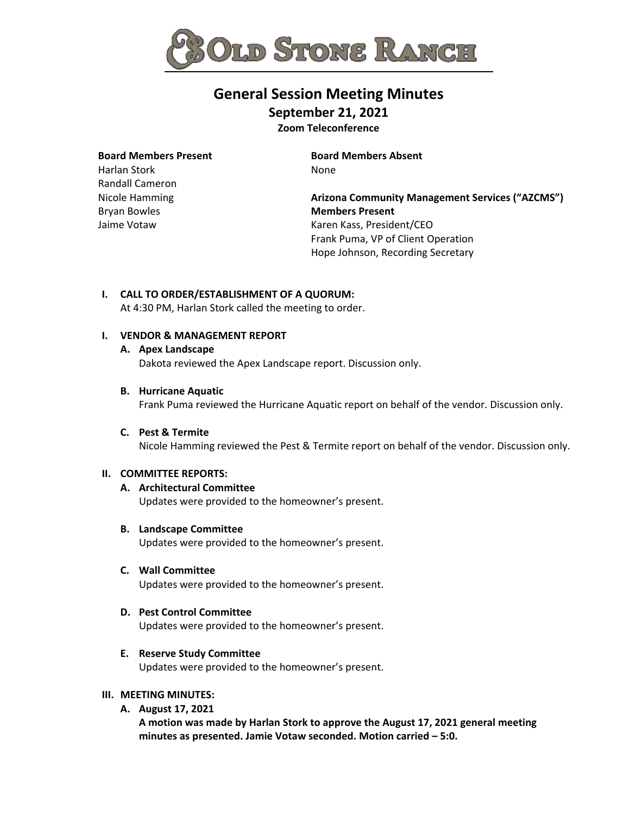

# **General Session Meeting Minutes**

**September 21, 2021 Zoom Teleconference** 

**Board Members Present** 

Harlan Stork Randall Cameron Nicole Hamming Bryan Bowles Jaime Votaw

**Board Members Absent** None

**Arizona Community Management Services ("AZCMS") Members Present** Karen Kass, President/CEO Frank Puma, VP of Client Operation Hope Johnson, Recording Secretary

**I. CALL TO ORDER/ESTABLISHMENT OF A QUORUM:** At 4:30 PM, Harlan Stork called the meeting to order.

# **I. VENDOR & MANAGEMENT REPORT**

**A. Apex Landscape**

Dakota reviewed the Apex Landscape report. Discussion only.

**B. Hurricane Aquatic**

Frank Puma reviewed the Hurricane Aquatic report on behalf of the vendor. Discussion only.

**C. Pest & Termite** Nicole Hamming reviewed the Pest & Termite report on behalf of the vendor. Discussion only.

# **II. COMMITTEE REPORTS:**

- **A. Architectural Committee** Updates were provided to the homeowner's present.
- **B. Landscape Committee** Updates were provided to the homeowner's present.
- **C. Wall Committee** Updates were provided to the homeowner's present.
- **D. Pest Control Committee**

Updates were provided to the homeowner's present.

**E. Reserve Study Committee**

Updates were provided to the homeowner's present.

## **III. MEETING MINUTES:**

**A. August 17, 2021**

**A motion was made by Harlan Stork to approve the August 17, 2021 general meeting minutes as presented. Jamie Votaw seconded. Motion carried – 5:0.**